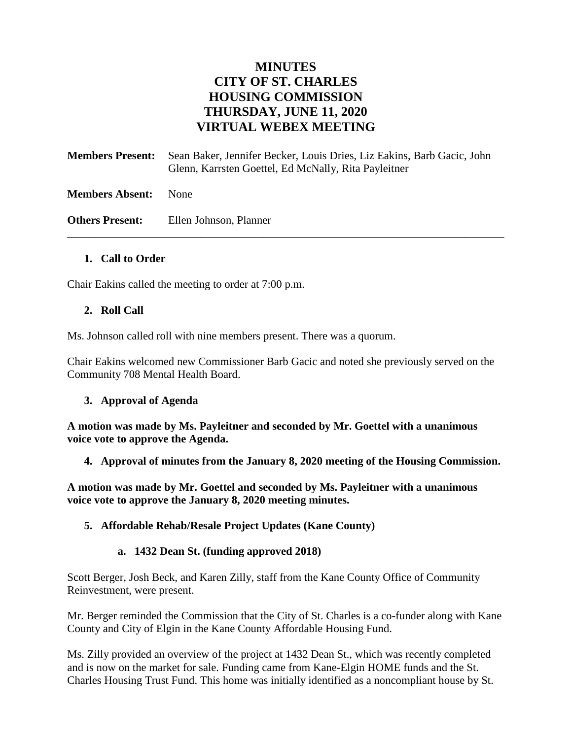# **MINUTES CITY OF ST. CHARLES HOUSING COMMISSION THURSDAY, JUNE 11, 2020 VIRTUAL WEBEX MEETING**

**Members Present:** Sean Baker, Jennifer Becker, Louis Dries, Liz Eakins, Barb Gacic, John Glenn, Karrsten Goettel, Ed McNally, Rita Payleitner **Members Absent:** None

\_\_\_\_\_\_\_\_\_\_\_\_\_\_\_\_\_\_\_\_\_\_\_\_\_\_\_\_\_\_\_\_\_\_\_\_\_\_\_\_\_\_\_\_\_\_\_\_\_\_\_\_\_\_\_\_\_\_\_\_\_\_\_\_\_\_\_\_\_\_\_\_\_\_\_\_\_\_

**Others Present:** Ellen Johnson, Planner

#### **1. Call to Order**

Chair Eakins called the meeting to order at 7:00 p.m.

#### **2. Roll Call**

Ms. Johnson called roll with nine members present. There was a quorum.

Chair Eakins welcomed new Commissioner Barb Gacic and noted she previously served on the Community 708 Mental Health Board.

#### **3. Approval of Agenda**

**A motion was made by Ms. Payleitner and seconded by Mr. Goettel with a unanimous voice vote to approve the Agenda.**

**4. Approval of minutes from the January 8, 2020 meeting of the Housing Commission.**

**A motion was made by Mr. Goettel and seconded by Ms. Payleitner with a unanimous voice vote to approve the January 8, 2020 meeting minutes.** 

#### **5. Affordable Rehab/Resale Project Updates (Kane County)**

#### **a. 1432 Dean St. (funding approved 2018)**

Scott Berger, Josh Beck, and Karen Zilly, staff from the Kane County Office of Community Reinvestment, were present.

Mr. Berger reminded the Commission that the City of St. Charles is a co-funder along with Kane County and City of Elgin in the Kane County Affordable Housing Fund.

Ms. Zilly provided an overview of the project at 1432 Dean St., which was recently completed and is now on the market for sale. Funding came from Kane-Elgin HOME funds and the St. Charles Housing Trust Fund. This home was initially identified as a noncompliant house by St.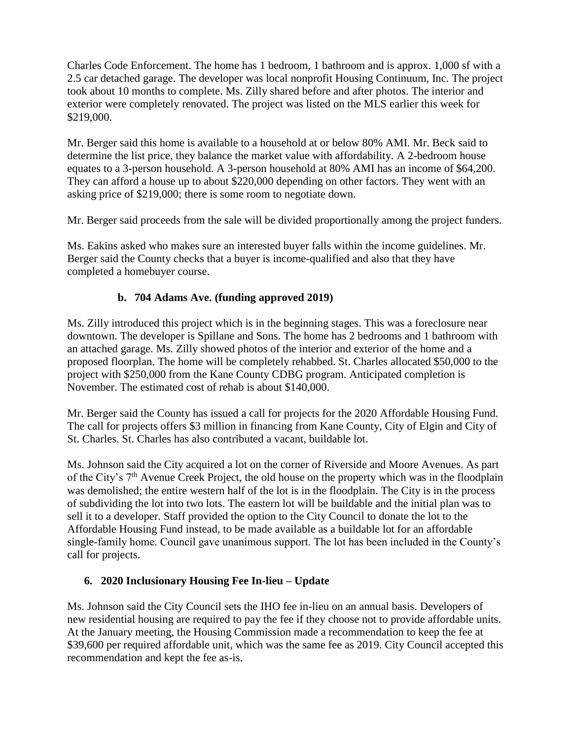Charles Code Enforcement. The home has 1 bedroom, 1 bathroom and is approx. 1,000 sf with a 2.5 car detached garage. The developer was local nonprofit Housing Continuum, Inc. The project took about 10 months to complete. Ms. Zilly shared before and after photos. The interior and exterior were completely renovated. The project was listed on the MLS earlier this week for \$219,000.

Mr. Berger said this home is available to a household at or below 80% AMI. Mr. Beck said to determine the list price, they balance the market value with affordability. A 2-bedroom house equates to a 3-person household. A 3-person household at 80% AMI has an income of \$64,200. They can afford a house up to about \$220,000 depending on other factors. They went with an asking price of \$219,000; there is some room to negotiate down.

Mr. Berger said proceeds from the sale will be divided proportionally among the project funders.

Ms. Eakins asked who makes sure an interested buyer falls within the income guidelines. Mr. Berger said the County checks that a buyer is income-qualified and also that they have completed a homebuyer course.

## **b. 704 Adams Ave. (funding approved 2019)**

Ms. Zilly introduced this project which is in the beginning stages. This was a foreclosure near downtown. The developer is Spillane and Sons. The home has 2 bedrooms and 1 bathroom with an attached garage. Ms. Zilly showed photos of the interior and exterior of the home and a proposed floorplan. The home will be completely rehabbed. St. Charles allocated \$50,000 to the project with \$250,000 from the Kane County CDBG program. Anticipated completion is November. The estimated cost of rehab is about \$140,000.

Mr. Berger said the County has issued a call for projects for the 2020 Affordable Housing Fund. The call for projects offers \$3 million in financing from Kane County, City of Elgin and City of St. Charles. St. Charles has also contributed a vacant, buildable lot.

Ms. Johnson said the City acquired a lot on the corner of Riverside and Moore Avenues. As part of the City's  $7<sup>th</sup>$  Avenue Creek Project, the old house on the property which was in the floodplain was demolished; the entire western half of the lot is in the floodplain. The City is in the process of subdividing the lot into two lots. The eastern lot will be buildable and the initial plan was to sell it to a developer. Staff provided the option to the City Council to donate the lot to the Affordable Housing Fund instead, to be made available as a buildable lot for an affordable single-family home. Council gave unanimous support. The lot has been included in the County's call for projects.

## **6. 2020 Inclusionary Housing Fee In-lieu – Update**

Ms. Johnson said the City Council sets the IHO fee in-lieu on an annual basis. Developers of new residential housing are required to pay the fee if they choose not to provide affordable units. At the January meeting, the Housing Commission made a recommendation to keep the fee at \$39,600 per required affordable unit, which was the same fee as 2019. City Council accepted this recommendation and kept the fee as-is.